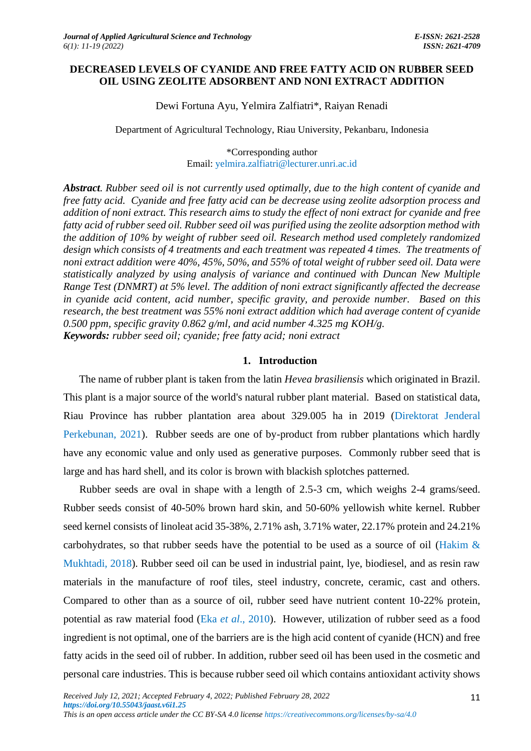# **DECREASED LEVELS OF CYANIDE AND FREE FATTY ACID ON RUBBER SEED OIL USING ZEOLITE ADSORBENT AND NONI EXTRACT ADDITION**

Dewi Fortuna Ayu, Yelmira Zalfiatri\*, Raiyan Renadi

Department of Agricultural Technology, Riau University, Pekanbaru, Indonesia

\*Corresponding author Email: [yelmira.zalfiatri@lecturer.unri.ac.id](mailto:yelmira.zalfiatri@lecturer.unri.ac.id)

*Abstract. Rubber seed oil is not currently used optimally, due to the high content of cyanide and free fatty acid. Cyanide and free fatty acid can be decrease using zeolite adsorption process and addition of noni extract. This research aims to study the effect of noni extract for cyanide and free fatty acid of rubber seed oil. Rubber seed oil was purified using the zeolite adsorption method with the addition of 10% by weight of rubber seed oil. Research method used completely randomized design which consists of 4 treatments and each treatment was repeated 4 times. The treatments of noni extract addition were 40%, 45%, 50%, and 55% of total weight of rubber seed oil. Data were statistically analyzed by using analysis of variance and continued with Duncan New Multiple Range Test (DNMRT) at 5% level. The addition of noni extract significantly affected the decrease in cyanide acid content, acid number, specific gravity, and peroxide number. Based on this research, the best treatment was 55% noni extract addition which had average content of cyanide 0.500 ppm, specific gravity 0.862 g/ml, and acid number 4.325 mg KOH/g. Keywords: rubber seed oil; cyanide; free fatty acid; noni extract*

### **1. Introduction**

The name of rubber plant is taken from the latin *Hevea brasiliensis* which originated in Brazil. This plant is a major source of the world's natural rubber plant material. Based on statistical data, Riau Province has rubber plantation area about 329.005 ha in 2019 [\(Direktorat Jenderal](#page-7-0)  [Perkebunan, 2021\)](#page-7-0). Rubber seeds are one of by-product from rubber plantations which hardly have any economic value and only used as generative purposes. Commonly rubber seed that is large and has hard shell, and its color is brown with blackish splotches patterned.

Rubber seeds are oval in shape with a length of 2.5-3 cm, which weighs 2-4 grams/seed. Rubber seeds consist of 40-50% brown hard skin, and 50-60% yellowish white kernel. Rubber seed kernel consists of linoleat acid 35-38%, 2.71% ash, 3.71% water, 22.17% protein and 24.21% carbohydrates, so that rubber seeds have the potential to be used as a source of oil (Hakim  $\&$ [Mukhtadi, 2018\)](#page-7-1). Rubber seed oil can be used in industrial paint, lye, biodiesel, and as resin raw materials in the manufacture of roof tiles, steel industry, concrete, ceramic, cast and others. Compared to other than as a source of oil, rubber seed have nutrient content 10-22% protein, potential as raw material food (Eka *et al*[., 2010\)](#page-7-0). However, utilization of rubber seed as a food ingredient is not optimal, one of the barriers are is the high acid content of cyanide (HCN) and free fatty acids in the seed oil of rubber. In addition, rubber seed oil has been used in the cosmetic and personal care industries. This is because rubber seed oil which contains antioxidant activity shows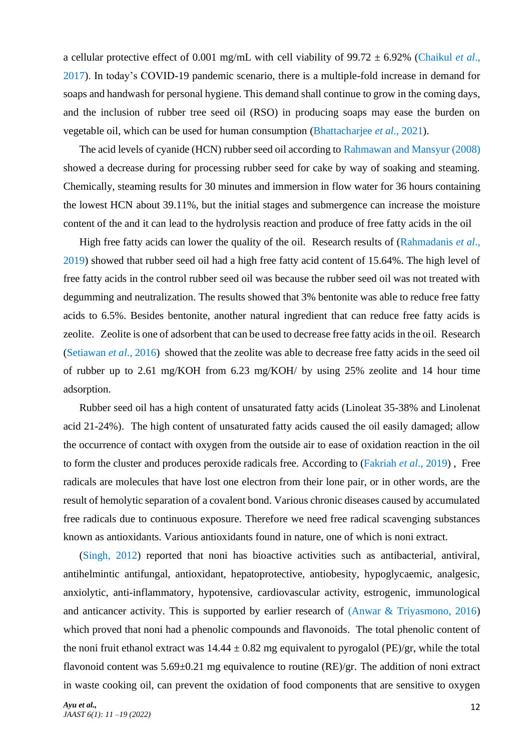a cellular protective effect of 0.001 mg/mL with cell viability of 99.72 ± 6.92% [\(Chaikul](#page-7-0) *et al*., [2017\)](#page-7-0). In today's COVID-19 pandemic scenario, there is a multiple-fold increase in demand for soaps and handwash for personal hygiene. This demand shall continue to grow in the coming days, and the inclusion of rubber tree seed oil (RSO) in producing soaps may ease the burden on vegetable oil, which can be used for human consumption [\(Bhattacharjee](#page-7-2) *et al*., 2021).

The acid levels of cyanide (HCN) rubber seed oil according to Rahmawan [and Mansyur \(2008\)](#page-8-0) showed a decrease during for processing rubber seed for cake by way of soaking and steaming. Chemically, steaming results for 30 minutes and immersion in flow water for 36 hours containing the lowest HCN about 39.11%, but the initial stages and submergence can increase the moisture content of the and it can lead to the hydrolysis reaction and produce of free fatty acids in the oil

High free fatty acids can lower the quality of the oil. Research results of [\(Rahmadanis](#page-8-0) *et al*., [2019\)](#page-8-0) showed that rubber seed oil had a high free fatty acid content of 15.64%. The high level of free fatty acids in the control rubber seed oil was because the rubber seed oil was not treated with degumming and neutralization. The results showed that 3% bentonite was able to reduce free fatty acids to 6.5%. Besides bentonite, another natural ingredient that can reduce free fatty acids is zeolite. Zeolite is one of adsorbent that can be used to decrease free fatty acids in the oil. Research [\(Setiawan](#page-8-1) *et al*., 2016) showed that the zeolite was able to decrease free fatty acids in the seed oil of rubber up to 2.61 mg/KOH from 6.23 mg/KOH/ by using 25% zeolite and 14 hour time adsorption.

Rubber seed oil has a high content of unsaturated fatty acids (Linoleat 35-38% and Linolenat acid 21-24%). The high content of unsaturated fatty acids caused the oil easily damaged; allow the occurrence of contact with oxygen from the outside air to ease of oxidation reaction in the oil to form the cluster and produces peroxide radicals free. According to [\(Fakriah](#page-7-1) *et al*., 2019) , Free radicals are molecules that have lost one electron from their lone pair, or in other words, are the result of hemolytic separation of a covalent bond. Various chronic diseases caused by accumulated free radicals due to continuous exposure. Therefore we need free radical scavenging substances known as antioxidants. Various antioxidants found in nature, one of which is noni extract.

[\(Singh, 2012\)](#page-8-1) reported that noni has bioactive activities such as antibacterial, antiviral, antihelmintic antifungal, antioxidant, hepatoprotective, antiobesity, hypoglycaemic, analgesic, anxiolytic, anti-inflammatory, hypotensive, cardiovascular activity, estrogenic, immunological and anticancer activity. This is supported by earlier research of [\(Anwar & Triyasmono, 2016\)](#page-7-2) which proved that noni had a phenolic compounds and flavonoids. The total phenolic content of the noni fruit ethanol extract was  $14.44 \pm 0.82$  mg equivalent to pyrogalol (PE)/gr, while the total flavonoid content was 5.69±0.21 mg equivalence to routine (RE)/gr. The addition of noni extract in waste cooking oil, can prevent the oxidation of food components that are sensitive to oxygen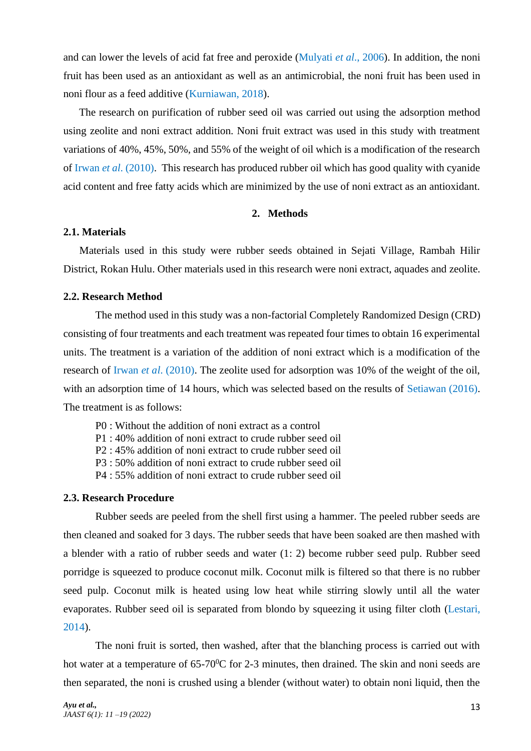and can lower the levels of acid fat free and peroxide [\(Mulyati](#page-8-0) *et al*., 2006). In addition, the noni fruit has been used as an antioxidant as well as an antimicrobial, the noni fruit has been used in noni flour as a feed additive [\(Kurniawan, 2018\)](#page-7-3).

The research on purification of rubber seed oil was carried out using the adsorption method using zeolite and noni extract addition. Noni fruit extract was used in this study with treatment variations of 40%, 45%, 50%, and 55% of the weight of oil which is a modification of the research of Irwan *et al*[. \(2010\).](#page-7-3) This research has produced rubber oil which has good quality with cyanide acid content and free fatty acids which are minimized by the use of noni extract as an antioxidant.

# **2. Methods**

# **2.1. Materials**

Materials used in this study were rubber seeds obtained in Sejati Village, Rambah Hilir District, Rokan Hulu. Other materials used in this research were noni extract, aquades and zeolite.

#### **2.2. Research Method**

The method used in this study was a non-factorial Completely Randomized Design (CRD) consisting of four treatments and each treatment was repeated four times to obtain 16 experimental units. The treatment is a variation of the addition of noni extract which is a modification of the research of Irwan *et al*[. \(2010\).](#page-7-3) The zeolite used for adsorption was 10% of the weight of the oil, with an adsorption time of 14 hours, which was selected based on the results of [Setiawan \(2016\).](#page-8-1) The treatment is as follows:

- P0 : Without the addition of noni extract as a control
- P1 : 40% addition of noni extract to crude rubber seed oil
- P2 : 45% addition of noni extract to crude rubber seed oil
- P3 : 50% addition of noni extract to crude rubber seed oil
- P4 : 55% addition of noni extract to crude rubber seed oil

### **2.3. Research Procedure**

Rubber seeds are peeled from the shell first using a hammer. The peeled rubber seeds are then cleaned and soaked for 3 days. The rubber seeds that have been soaked are then mashed with a blender with a ratio of rubber seeds and water (1: 2) become rubber seed pulp. Rubber seed porridge is squeezed to produce coconut milk. Coconut milk is filtered so that there is no rubber seed pulp. Coconut milk is heated using low heat while stirring slowly until all the water evaporates. Rubber seed oil is separated from blondo by squeezing it using filter cloth [\(Lestari,](#page-8-0)  [2014\)](#page-8-0).

The noni fruit is sorted, then washed, after that the blanching process is carried out with hot water at a temperature of 65-70<sup>o</sup>C for 2-3 minutes, then drained. The skin and noni seeds are then separated, the noni is crushed using a blender (without water) to obtain noni liquid, then the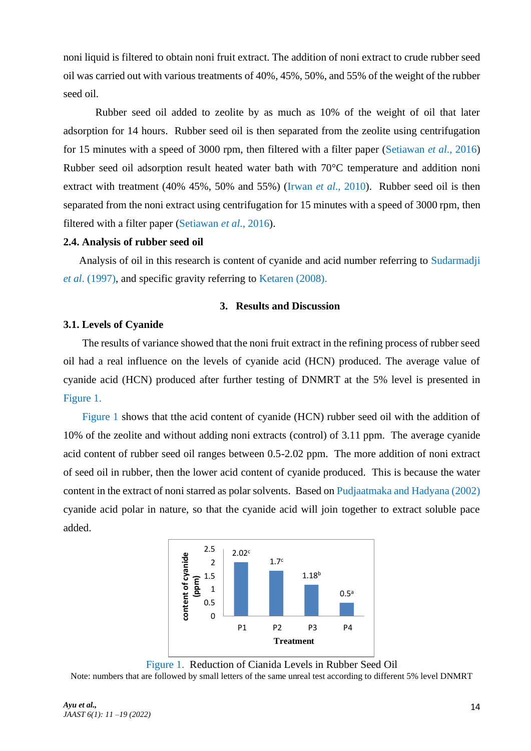noni liquid is filtered to obtain noni fruit extract. The addition of noni extract to crude rubber seed oil was carried out with various treatments of 40%, 45%, 50%, and 55% of the weight of the rubber seed oil.

Rubber seed oil added to zeolite by as much as 10% of the weight of oil that later adsorption for 14 hours. Rubber seed oil is then separated from the zeolite using centrifugation for 15 minutes with a speed of 3000 rpm, then filtered with a filter paper (Setiawan *et al*., 2016) Rubber seed oil adsorption result heated water bath with 70°C temperature and addition noni extract with treatment (40% 45%, 50% and 55%) (Irwan *et al*[., 2010\)](#page-7-3). Rubber seed oil is then separated from the noni extract using centrifugation for 15 minutes with a speed of 3000 rpm, then filtered with a filter paper [\(Setiawan](#page-8-1) *et al*., 2016).

#### **2.4. Analysis of rubber seed oil**

Analysis of oil in this research is content of cyanide and acid number referring to [Sudarmadji](#page-8-1)  *et al*[. \(1997\),](#page-8-1) and specific gravity referring to [Ketaren \(2008\).](#page-7-3)

### **3. Results and Discussion**

#### **3.1. Levels of Cyanide**

The results of variance showed that the noni fruit extract in the refining process of rubber seed oil had a real influence on the levels of cyanide acid (HCN) produced. The average value of cyanide acid (HCN) produced after further testing of DNMRT at the 5% level is presented in [Figure 1.](#page-3-0)

[Figure 1](#page-3-0) shows that tthe acid content of cyanide (HCN) rubber seed oil with the addition of 10% of the zeolite and without adding noni extracts (control) of 3.11 ppm. The average cyanide acid content of rubber seed oil ranges between 0.5-2.02 ppm. The more addition of noni extract of seed oil in rubber, then the lower acid content of cyanide produced. This is because the water content in the extract of noni starred as polar solvents. Based on [Pudjaatmaka and Hadyana \(2002\)](#page-8-1) cyanide acid polar in nature, so that the cyanide acid will join together to extract soluble pace added.



<span id="page-3-0"></span>Figure 1. Reduction of Cianida Levels in Rubber Seed Oil Note: numbers that are followed by small letters of the same unreal test according to different 5% level DNMRT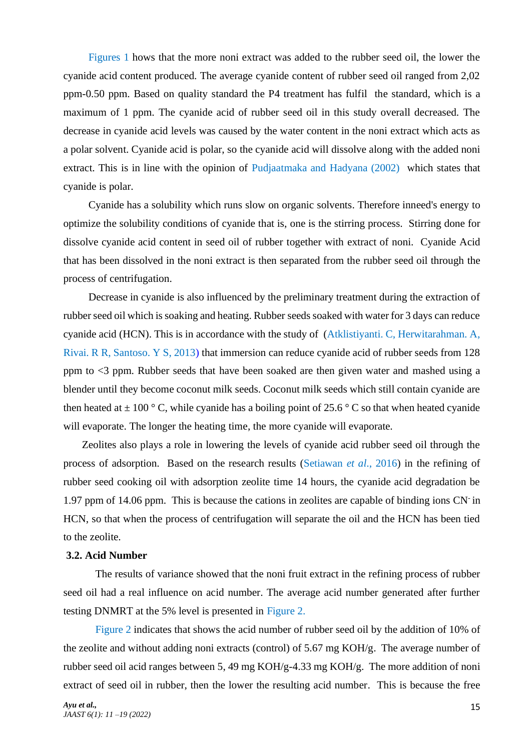[Figures 1](#page-3-0) hows that the more noni extract was added to the rubber seed oil, the lower the cyanide acid content produced. The average cyanide content of rubber seed oil ranged from 2,02 ppm-0.50 ppm. Based on quality standard the P4 treatment has fulfil the standard, which is a maximum of 1 ppm. The cyanide acid of rubber seed oil in this study overall decreased. The decrease in cyanide acid levels was caused by the water content in the noni extract which acts as a polar solvent. Cyanide acid is polar, so the cyanide acid will dissolve along with the added noni extract. This is in line with the opinion of [Pudjaatmaka and Hadyana \(2002\)](#page-8-1) which states that cyanide is polar.

Cyanide has a solubility which runs slow on organic solvents. Therefore inneed's energy to optimize the solubility conditions of cyanide that is, one is the stirring process. Stirring done for dissolve cyanide acid content in seed oil of rubber together with extract of noni. Cyanide Acid that has been dissolved in the noni extract is then separated from the rubber seed oil through the process of centrifugation.

Decrease in cyanide is also influenced by the preliminary treatment during the extraction of rubber seed oil which is soaking and heating. Rubber seeds soaked with water for 3 days can reduce cyanide acid (HCN). This is in accordance with the study of [\(Atklistiyanti. C, Herwitarahman. A,](#page-7-2)  [Rivai. R R, Santoso. Y S, 2013\)](#page-7-2) that immersion can reduce cyanide acid of rubber seeds from 128 ppm to <3 ppm. Rubber seeds that have been soaked are then given water and mashed using a blender until they become coconut milk seeds. Coconut milk seeds which still contain cyanide are then heated at  $\pm 100$  ° C, while cyanide has a boiling point of 25.6 ° C so that when heated cyanide will evaporate. The longer the heating time, the more cyanide will evaporate.

Zeolites also plays a role in lowering the levels of cyanide acid rubber seed oil through the process of adsorption. Based on the research results (Setiawan *et al*., 2016) in the refining of rubber seed cooking oil with adsorption zeolite time 14 hours, the cyanide acid degradation be 1.97 ppm of 14.06 ppm. This is because the cations in zeolites are capable of binding ions CN-in HCN, so that when the process of centrifugation will separate the oil and the HCN has been tied to the zeolite.

### **3.2. Acid Number**

The results of variance showed that the noni fruit extract in the refining process of rubber seed oil had a real influence on acid number. The average acid number generated after further testing DNMRT at the 5% level is presented in [Figure 2.](#page-5-0)

[Figure 2](#page-5-0) indicates that shows the acid number of rubber seed oil by the addition of 10% of the zeolite and without adding noni extracts (control) of 5.67 mg KOH/g. The average number of rubber seed oil acid ranges between 5, 49 mg KOH/g-4.33 mg KOH/g. The more addition of noni extract of seed oil in rubber, then the lower the resulting acid number. This is because the free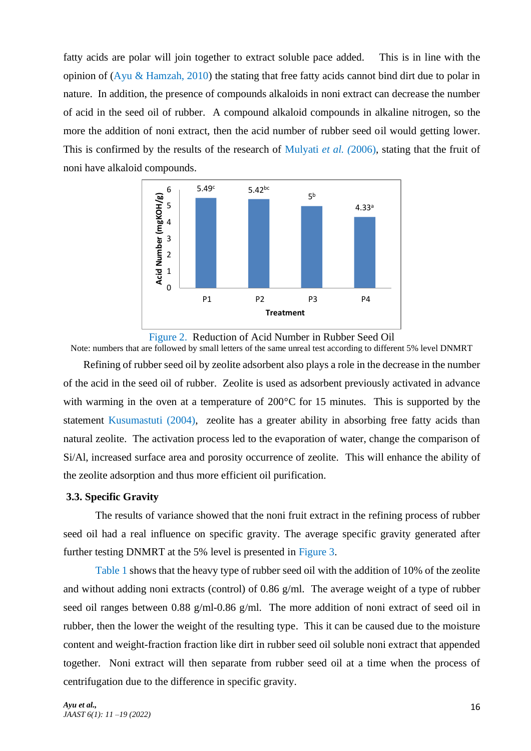fatty acids are polar will join together to extract soluble pace added. This is in line with the opinion of [\(Ayu & Hamzah, 2010\)](#page-7-2) the stating that free fatty acids cannot bind dirt due to polar in nature. In addition, the presence of compounds alkaloids in noni extract can decrease the number of acid in the seed oil of rubber. A compound alkaloid compounds in alkaline nitrogen, so the more the addition of noni extract, then the acid number of rubber seed oil would getting lower. This is confirmed by the results of the research of [Mulyati](#page-8-0) *et al. (*2006), stating that the fruit of noni have alkaloid compounds.





<span id="page-5-0"></span>Note: numbers that are followed by small letters of the same unreal test according to different 5% level DNMRT

Refining of rubber seed oil by zeolite adsorbent also plays a role in the decrease in the number of the acid in the seed oil of rubber. Zeolite is used as adsorbent previously activated in advance with warming in the oven at a temperature of 200<sup>o</sup>C for 15 minutes. This is supported by the statement [Kusumastuti](#page-7-3) (2004), zeolite has a greater ability in absorbing free fatty acids than natural zeolite. The activation process led to the evaporation of water, change the comparison of Si/Al, increased surface area and porosity occurrence of zeolite. This will enhance the ability of the zeolite adsorption and thus more efficient oil purification.

# **3.3. Specific Gravity**

The results of variance showed that the noni fruit extract in the refining process of rubber seed oil had a real influence on specific gravity. The average specific gravity generated after further testing DNMRT at the 5% level is presented in [Figure 3.](#page-6-0)

[Table 1](#page-6-1) shows that the heavy type of rubber seed oil with the addition of 10% of the zeolite and without adding noni extracts (control) of 0.86 g/ml. The average weight of a type of rubber seed oil ranges between 0.88 g/ml-0.86 g/ml. The more addition of noni extract of seed oil in rubber, then the lower the weight of the resulting type. This it can be caused due to the moisture content and weight-fraction fraction like dirt in rubber seed oil soluble noni extract that appended together. Noni extract will then separate from rubber seed oil at a time when the process of centrifugation due to the difference in specific gravity.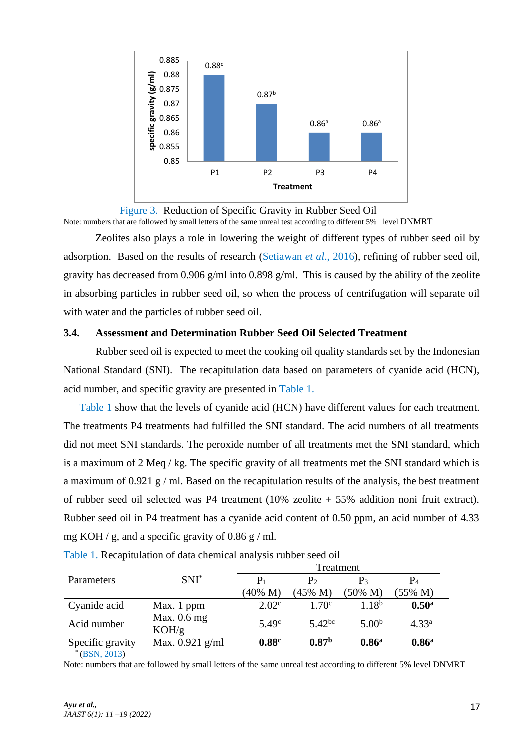

<span id="page-6-0"></span> Figure 3. Reduction of Specific Gravity in Rubber Seed Oil Note: numbers that are followed by small letters of the same unreal test according to different 5% level DNMRT

Zeolites also plays a role in lowering the weight of different types of rubber seed oil by adsorption. Based on the results of research [\(Setiawan](#page-8-1) *et al*., 2016), refining of rubber seed oil, gravity has decreased from 0.906 g/ml into 0.898 g/ml. This is caused by the ability of the zeolite in absorbing particles in rubber seed oil, so when the process of centrifugation will separate oil with water and the particles of rubber seed oil.

# **3.4. Assessment and Determination Rubber Seed Oil Selected Treatment**

Rubber seed oil is expected to meet the cooking oil quality standards set by the Indonesian National Standard (SNI). The recapitulation data based on parameters of cyanide acid (HCN), acid number, and specific gravity are presented in [Table 1.](#page-6-1)

Table 1 show that the levels of cyanide acid (HCN) have different values for each treatment. The treatments P4 treatments had fulfilled the SNI standard. The acid numbers of all treatments did not meet SNI standards. The peroxide number of all treatments met the SNI standard, which is a maximum of 2 Meq / kg. The specific gravity of all treatments met the SNI standard which is a maximum of 0.921 g / ml. Based on the recapitulation results of the analysis, the best treatment of rubber seed oil selected was P4 treatment (10% zeolite + 55% addition noni fruit extract). Rubber seed oil in P4 treatment has a cyanide acid content of 0.50 ppm, an acid number of 4.33 mg KOH / g, and a specific gravity of 0.86 g / ml.

|                  | $SNI^*$                | Treatment          |                   |                   |                   |
|------------------|------------------------|--------------------|-------------------|-------------------|-------------------|
| Parameters       |                        | $P_1$              | P <sub>2</sub>    | $P_3$             | $P_4$             |
|                  |                        | $(40\% \text{ M})$ | (45% M)           | $(50\% M)$        | $(55\% M)$        |
| Cyanide acid     | Max. 1 ppm             | 2.02 <sup>c</sup>  | $1.70^{\circ}$    | 1.18 <sup>b</sup> | 0.50 <sup>a</sup> |
| Acid number      | Max. $0.6$ mg<br>KOH/g | 5.49 <sup>c</sup>  | $5.42^{bc}$       | 5.00 <sup>b</sup> | 4.33 <sup>a</sup> |
| Specific gravity | Max. $0.921$ g/ml      | 0.88c              | 0.87 <sup>b</sup> | 0.86 <sup>a</sup> | 0.86 <sup>a</sup> |

<span id="page-6-1"></span>Table 1. Recapitulation of data chemical analysis rubber seed oil

\* [\(BSN, 2013\)](#page-7-2)

Note: numbers that are followed by small letters of the same unreal test according to different 5% level DNMRT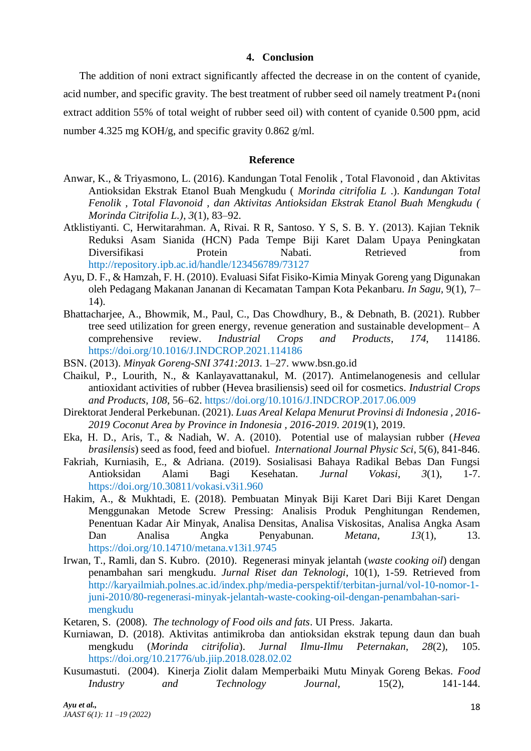### **4. Conclusion**

The addition of noni extract significantly affected the decrease in on the content of cyanide, acid number, and specific gravity. The best treatment of rubber seed oil namely treatment  $P_4$  (noni extract addition 55% of total weight of rubber seed oil) with content of cyanide 0.500 ppm, acid number 4.325 mg KOH/g, and specific gravity 0.862 g/ml.

### <span id="page-7-2"></span>**Reference**

- Anwar, K., & Triyasmono, L. (2016). Kandungan Total Fenolik , Total Flavonoid , dan Aktivitas Antioksidan Ekstrak Etanol Buah Mengkudu ( *Morinda citrifolia L* .). *Kandungan Total Fenolik , Total Flavonoid , dan Aktivitas Antioksidan Ekstrak Etanol Buah Mengkudu ( Morinda Citrifolia L.)*, *3*(1), 83–92.
- Atklistiyanti. C, Herwitarahman. A, Rivai. R R, Santoso. Y S, S. B. Y. (2013). Kajian Teknik Reduksi Asam Sianida (HCN) Pada Tempe Biji Karet Dalam Upaya Peningkatan Diversifikasi Protein Nabati. Retrieved from <http://repository.ipb.ac.id/handle/123456789/73127>
- Ayu, D. F., & Hamzah, F. H. (2010). Evaluasi Sifat Fisiko-Kimia Minyak Goreng yang Digunakan oleh Pedagang Makanan Jananan di Kecamatan Tampan Kota Pekanbaru. *In Sagu,* 9(1), 7– 14).
- Bhattacharjee, A., Bhowmik, M., Paul, C., Das Chowdhury, B., & Debnath, B. (2021). Rubber tree seed utilization for green energy, revenue generation and sustainable development– A comprehensive review. *Industrial Crops and Products*, *174*, 114186. <https://doi.org/10.1016/J.INDCROP.2021.114186>
- BSN. (2013). *Minyak Goreng-SNI 3741:2013*. 1–27. www.bsn.go.id
- <span id="page-7-0"></span>Chaikul, P., Lourith, N., & Kanlayavattanakul, M. (2017). Antimelanogenesis and cellular antioxidant activities of rubber (Hevea brasiliensis) seed oil for cosmetics. *Industrial Crops and Products*, *108*, 56–62.<https://doi.org/10.1016/J.INDCROP.2017.06.009>
- Direktorat Jenderal Perkebunan. (2021). *Luas Areal Kelapa Menurut Provinsi di Indonesia , 2016- 2019 Coconut Area by Province in Indonesia , 2016-2019*. *2019*(1), 2019.
- Eka, H. D., Aris, T., & Nadiah, W. A. (2010). Potential use of malaysian rubber (*Hevea brasilensis*) seed as food, feed and biofuel. *International Journal Physic Sci*, 5(6), 841-846.
- <span id="page-7-1"></span>Fakriah, Kurniasih, E., & Adriana. (2019). Sosialisasi Bahaya Radikal Bebas Dan Fungsi Antioksidan Alami Bagi Kesehatan. *Jurnal Vokasi*, *3*(1), 1-7. <https://doi.org/10.30811/vokasi.v3i1.960>
- Hakim, A., & Mukhtadi, E. (2018). Pembuatan Minyak Biji Karet Dari Biji Karet Dengan Menggunakan Metode Screw Pressing: Analisis Produk Penghitungan Rendemen, Penentuan Kadar Air Minyak, Analisa Densitas, Analisa Viskositas, Analisa Angka Asam Dan Analisa Angka Penyabunan. *Metana*, *13*(1), 13. <https://doi.org/10.14710/metana.v13i1.9745>
- <span id="page-7-3"></span>Irwan, T., Ramli, dan S. Kubro. (2010). Regenerasi minyak jelantah (*waste cooking oil*) dengan penambahan sari mengkudu. *Jurnal Riset dan Teknologi*, 10(1), 1-59. Retrieved from [http://karyailmiah.polnes.ac.id/index.php/media-perspektif/terbitan-jurnal/vol-10-nomor-1](http://karyailmiah.polnes.ac.id/index.php/media-perspektif/terbitan-jurnal/vol-10-nomor-1-juni-2010/80-regenerasi-minyak-jelantah-waste-cooking-oil-dengan-penambahan-sari-mengkudu) [juni-2010/80-regenerasi-minyak-jelantah-waste-cooking-oil-dengan-penambahan-sari](http://karyailmiah.polnes.ac.id/index.php/media-perspektif/terbitan-jurnal/vol-10-nomor-1-juni-2010/80-regenerasi-minyak-jelantah-waste-cooking-oil-dengan-penambahan-sari-mengkudu)[mengkudu](http://karyailmiah.polnes.ac.id/index.php/media-perspektif/terbitan-jurnal/vol-10-nomor-1-juni-2010/80-regenerasi-minyak-jelantah-waste-cooking-oil-dengan-penambahan-sari-mengkudu)
- Ketaren, S. (2008). *The technology of Food oils and fats*. UI Press. Jakarta.
- Kurniawan, D. (2018). Aktivitas antimikroba dan antioksidan ekstrak tepung daun dan buah mengkudu (*Morinda citrifolia*). *Jurnal Ilmu-Ilmu Peternakan*, *28*(2), 105. <https://doi.org/10.21776/ub.jiip.2018.028.02.02>
- Kusumastuti. (2004). Kinerja Ziolit dalam Memperbaiki Mutu Minyak Goreng Bekas. *Food Industry and Technology Journal*, 15(2), 141-144.